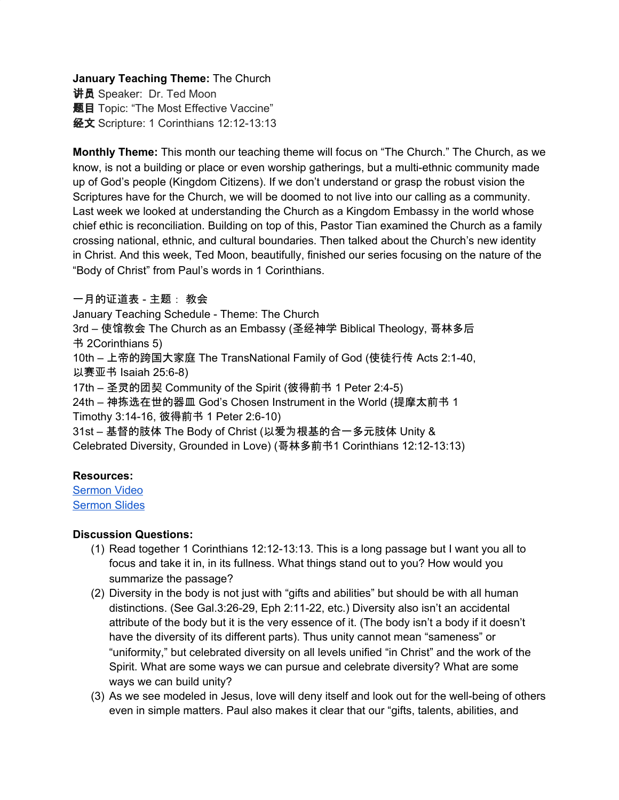**January Teaching Theme:** The Church

讲员 Speaker: Dr. Ted Moon 题目 Topic: "The Most Effective Vaccine" 经文 Scripture: 1 Corinthians 12:12-13:13

**Monthly Theme:** This month our teaching theme will focus on "The Church." The Church, as we know, is not a building or place or even worship gatherings, but a multi-ethnic community made up of God's people (Kingdom Citizens). If we don't understand or grasp the robust vision the Scriptures have for the Church, we will be doomed to not live into our calling as a community. Last week we looked at understanding the Church as a Kingdom Embassy in the world whose chief ethic is reconciliation. Building on top of this, Pastor Tian examined the Church as a family crossing national, ethnic, and cultural boundaries. Then talked about the Church's new identity in Christ. And this week, Ted Moon, beautifully, finished our series focusing on the nature of the "Body of Christ" from Paul's words in 1 Corinthians.

一月的证道表 - 主题: 教会

January Teaching Schedule - Theme: The Church

3rd – 使馆教会 The Church as an Embassy (圣经神学 Biblical Theology, 哥林多后 书 2Corinthians 5)

10th – 上帝的跨国大家庭 The TransNational Family of God (使徒行传 Acts 2:1-40, 以赛亚书 Isaiah 25:6-8)

17th – 圣灵的团契 Community of the Spirit (彼得前书 1 Peter 2:4-5)

24th – 神拣选在世的器皿 God's Chosen Instrument in the World (提摩太前书 1 Timothy 3:14-16, 彼得前书 1 Peter 2:6-10)

31st – 基督的肢体 The Body of Christ (以爱为根基的合一多元肢体 Unity & Celebrated Diversity, Grounded in Love) (哥林多前书1 Corinthians 12:12-13:13)

# **Resources:**

[Sermon](https://www.youtube.com/watch?v=i_MUgbzHvcU) Video [Sermon](http://www.lcccky.org/CellGroup/Meetings/Chinese%20The%20%20Most%20Effective%20Vaccine.pdf) Slides

# **Discussion Questions:**

- (1) Read together 1 Corinthians 12:12-13:13. This is a long passage but I want you all to focus and take it in, in its fullness. What things stand out to you? How would you summarize the passage?
- (2) Diversity in the body is not just with "gifts and abilities" but should be with all human distinctions. (See Gal.3:26-29, Eph 2:11-22, etc.) Diversity also isn't an accidental attribute of the body but it is the very essence of it. (The body isn't a body if it doesn't have the diversity of its different parts). Thus unity cannot mean "sameness" or "uniformity," but celebrated diversity on all levels unified "in Christ" and the work of the Spirit. What are some ways we can pursue and celebrate diversity? What are some ways we can build unity?
- (3) As we see modeled in Jesus, love will deny itself and look out for the well-being of others even in simple matters. Paul also makes it clear that our "gifts, talents, abilities, and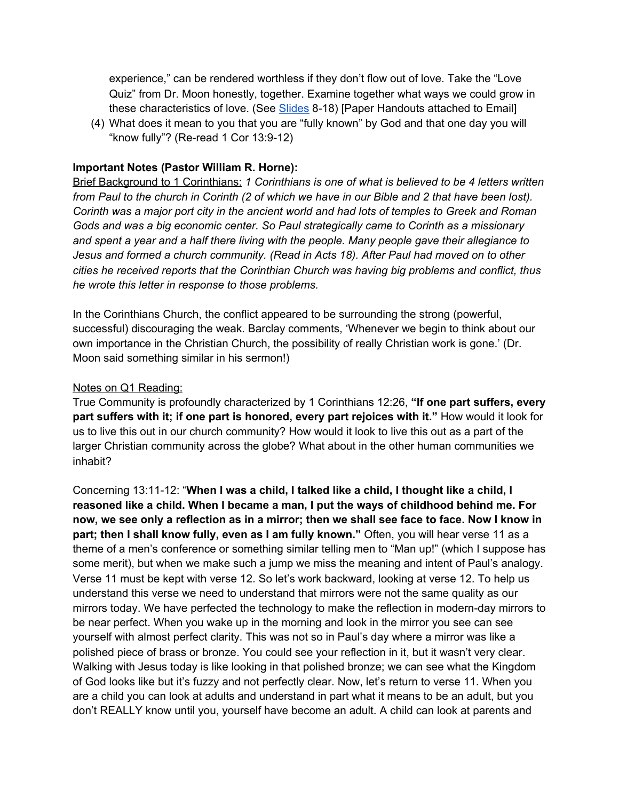experience," can be rendered worthless if they don't flow out of love. Take the "Love Quiz" from Dr. Moon honestly, together. Examine together what ways we could grow in these characteristics of love. (See [Slides](http://www.lcccky.org/CellGroup/Meetings/Chinese%20The%20%20Most%20Effective%20Vaccine.pdf) 8-18) [Paper Handouts attached to Email]

(4) What does it mean to you that you are "fully known" by God and that one day you will "know fully"? (Re-read 1 Cor 13:9-12)

## **Important Notes (Pastor William R. Horne):**

Brief Background to 1 Corinthians: *1 Corinthians is one of what is believed to be 4 letters written* from Paul to the church in Corinth (2 of which we have in our Bible and 2 that have been lost). Corinth was a major port city in the ancient world and had lots of temples to Greek and Roman *Gods and was a big economic center. So Paul strategically came to Corinth as a missionary and spent a year and a half there living with the people. Many people gave their allegiance to Jesus and formed a church community. (Read in Acts 18). After Paul had moved on to other cities he received reports that the Corinthian Church was having big problems and conflict, thus he wrote this letter in response to those problems.*

In the Corinthians Church, the conflict appeared to be surrounding the strong (powerful, successful) discouraging the weak. Barclay comments, 'Whenever we begin to think about our own importance in the Christian Church, the possibility of really Christian work is gone.' (Dr. Moon said something similar in his sermon!)

### Notes on Q1 Reading:

True Community is profoundly characterized by 1 Corinthians 12:26, **"If one part suffers, every part suffers with it; if one part is honored, every part rejoices with it."** How would it look for us to live this out in our church community? How would it look to live this out as a part of the larger Christian community across the globe? What about in the other human communities we inhabit?

Concerning 13:11-12: "**When I was a child, I talked like a child, I thought like a child, I reasoned like a child. When I became a man, I put the ways of childhood behind me. For** now, we see only a reflection as in a mirror; then we shall see face to face. Now I know in **part; then I shall know fully, even as I am fully known."** Often, you will hear verse 11 as a theme of a men's conference or something similar telling men to "Man up!" (which I suppose has some merit), but when we make such a jump we miss the meaning and intent of Paul's analogy. Verse 11 must be kept with verse 12. So let's work backward, looking at verse 12. To help us understand this verse we need to understand that mirrors were not the same quality as our mirrors today. We have perfected the technology to make the reflection in modern-day mirrors to be near perfect. When you wake up in the morning and look in the mirror you see can see yourself with almost perfect clarity. This was not so in Paul's day where a mirror was like a polished piece of brass or bronze. You could see your reflection in it, but it wasn't very clear. Walking with Jesus today is like looking in that polished bronze; we can see what the Kingdom of God looks like but it's fuzzy and not perfectly clear. Now, let's return to verse 11. When you are a child you can look at adults and understand in part what it means to be an adult, but you don't REALLY know until you, yourself have become an adult. A child can look at parents and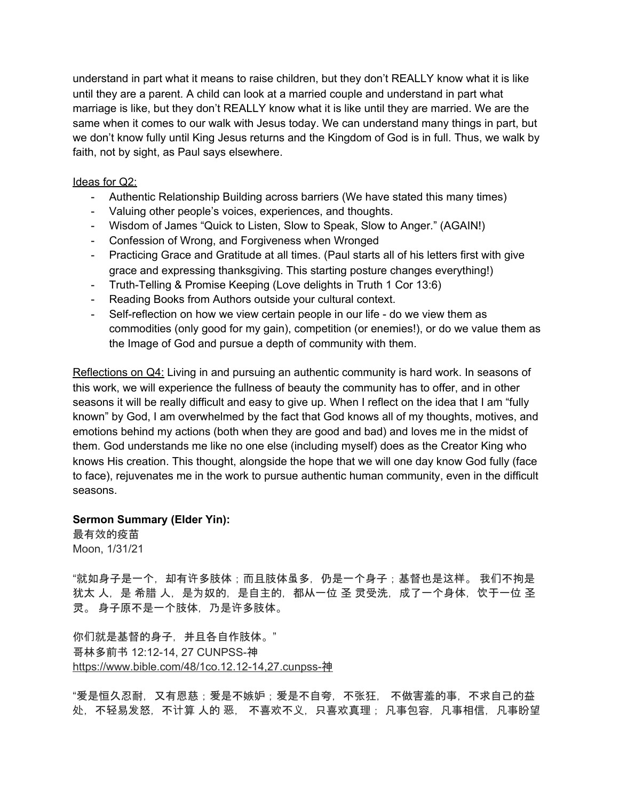understand in part what it means to raise children, but they don't REALLY know what it is like until they are a parent. A child can look at a married couple and understand in part what marriage is like, but they don't REALLY know what it is like until they are married. We are the same when it comes to our walk with Jesus today. We can understand many things in part, but we don't know fully until King Jesus returns and the Kingdom of God is in full. Thus, we walk by faith, not by sight, as Paul says elsewhere.

## Ideas for Q2:

- Authentic Relationship Building across barriers (We have stated this many times)
- Valuing other people's voices, experiences, and thoughts.
- Wisdom of James "Quick to Listen, Slow to Speak, Slow to Anger." (AGAIN!)
- Confession of Wrong, and Forgiveness when Wronged
- Practicing Grace and Gratitude at all times. (Paul starts all of his letters first with give grace and expressing thanksgiving. This starting posture changes everything!)
- Truth-Telling & Promise Keeping (Love delights in Truth 1 Cor 13:6)
- Reading Books from Authors outside your cultural context.
- Self-reflection on how we view certain people in our life do we view them as commodities (only good for my gain), competition (or enemies!), or do we value them as the Image of God and pursue a depth of community with them.

Reflections on Q4: Living in and pursuing an authentic community is hard work. In seasons of this work, we will experience the fullness of beauty the community has to offer, and in other seasons it will be really difficult and easy to give up. When I reflect on the idea that I am "fully known" by God, I am overwhelmed by the fact that God knows all of my thoughts, motives, and emotions behind my actions (both when they are good and bad) and loves me in the midst of them. God understands me like no one else (including myself) does as the Creator King who knows His creation. This thought, alongside the hope that we will one day know God fully (face to face), rejuvenates me in the work to pursue authentic human community, even in the difficult seasons.

### **Sermon Summary (Elder Yin):**

最有效的疫苗 Moon, 1/31/21

"就如身子是一个,却有许多肢体;而且肢体虽多,仍是一个身子;基督也是这样。 我们不拘是 犹太 人,是 希腊 人,是为奴的,是自主的,都从一位 圣 灵受洗,成了一个身体,饮于一位 圣 灵。 身子原不是一个肢体,乃是许多肢体。

你们就是基督的身子,并且各自作肢体。" 哥林多前书 12:12-14, 27 CUNPSS-神 [https://www.bible.com/48/1co.12.12-14,27.cunpss-](https://www.bible.com/48/1co.12.12-14,27.cunpss-%E7%A5%9E)神

"爱是恒久忍耐,又有恩慈;爱是不嫉妒;爱是不自夸,不张狂, 不做害羞的事,不求自己的益 处,不轻易发怒,不计算 人的 恶, 不喜欢不义,只喜欢真理; 凡事包容,凡事相信,凡事盼望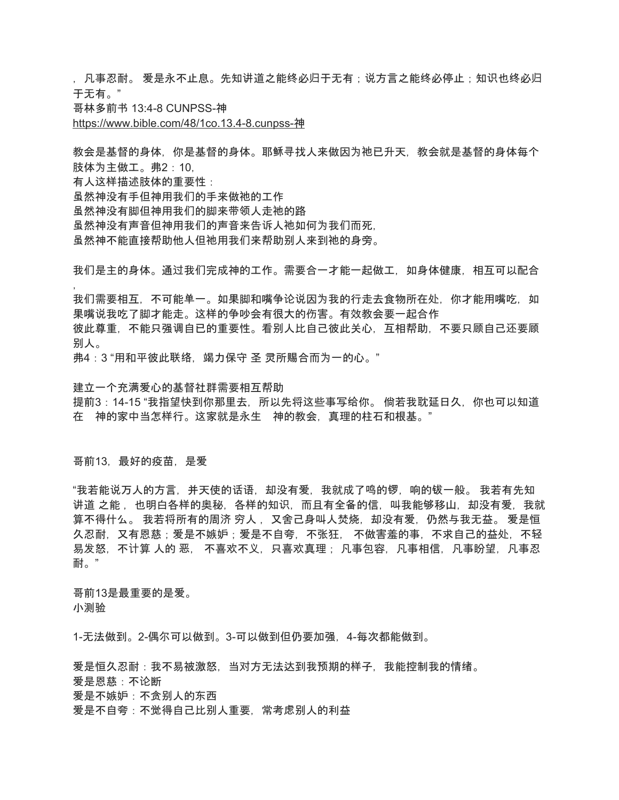, 凡事忍耐。 爱是永不止息。先知讲道之能终必归于无有;说方言之能终必停止;知识也终必归 于无有。"

哥林多前书 13:4-8 CUNPSS-神

[https://www.bible.com/48/1co.13.4-8.cunpss-](https://www.bible.com/48/1co.13.4-8.cunpss-%E7%A5%9E)神

教会是基督的身体,你是基督的身体。耶稣寻找人来做因为祂已升天,教会就是基督的身体每个 肢体为主做工。弗2:10,

有人这样描述肢体的重要性:

虽然神没有手但神用我们的手来做祂的工作

虽然神没有脚但神用我们的脚来带领人走祂的路

虽然神没有声音但神用我们的声音来告诉人祂如何为我们而死,

虽然神不能直接帮助他人但祂用我们来帮助别人来到祂的身旁。

我们是主的身体。通过我们完成神的工作。需要合一才能一起做工,如身体健康,相互可以配合 ,

我们需要相互,不可能单一。如果脚和嘴争论说因为我的行走去食物所在处,你才能用嘴吃,如 果嘴说我吃了脚才能走。这样的争吵会有很大的伤害。有效教会要一起合作

彼此尊重,不能只强调自已的重要性。看别人比自己彼此关心,互相帮助,不要只顾自己还要顾 别人。

弗4:3 "用和平彼此联络,竭力保守 圣 灵所赐合而为一的心。"

建立一个充满爱心的基督社群需要相互帮助

提前3:14-15 "我指望快到你那里去,所以先将这些事写给你。 倘若我耽延日久,你也可以知道 在 神的家中当怎样行。这家就是永生 神的教会,真理的柱石和根基。"

哥前13,最好的疫苗,是爱

"我若能说万人的方言,并天使的话语,却没有爱,我就成了鸣的锣,响的钹一般。 我若有先知 讲道 之能 ,也明白各样的奥秘,各样的知识,而且有全备的信,叫我能够移山,却没有爱,我就 算不得什么。 我若将所有的周济 穷人 ,又舍己身叫人焚烧,却没有爱,仍然与我无益。 爱是恒 久忍耐,又有恩慈;爱是不嫉妒;爱是不自夸,不张狂, 不做害羞的事,不求自己的益处,不轻 易发怒,不计算 人的 恶, 不喜欢不义,只喜欢真理; 凡事包容,凡事相信,凡事盼望,凡事忍 耐。"

哥前13是最重要的是爱。 小测验

1-无法做到。2-偶尔可以做到。3-可以做到但仍要加强,4-每次都能做到。

爱是恒久忍耐:我不易被激怒,当对方无法达到我预期的样子,我能控制我的情绪。 爱是恩慈:不论断 爱是不嫉妒:不贪别人的东西 爱是不自夸:不觉得自己比别人重要,常考虑别人的利益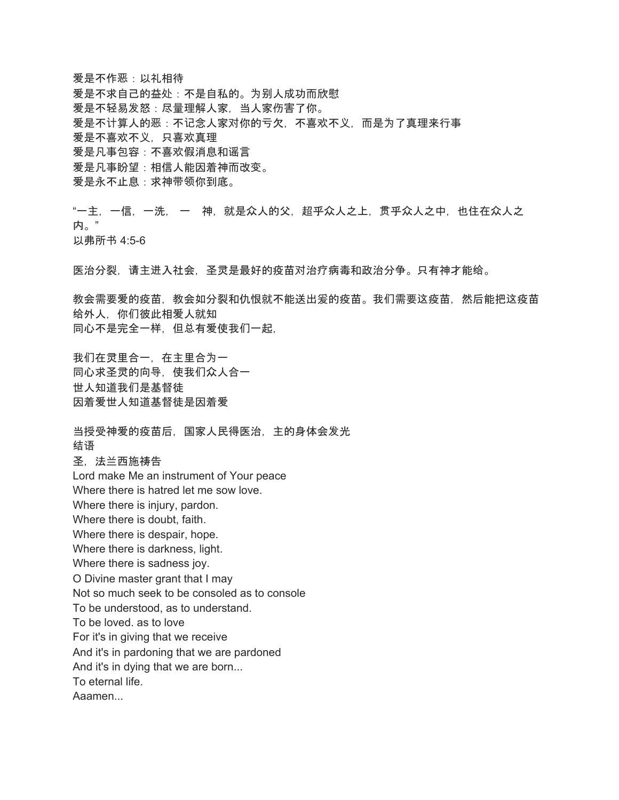爱是不作恶:以礼相待 爱是不求自己的益处:不是自私的。为别人成功而欣慰 爱是不轻易发怒:尽量理解人家,当人家伤害了你。 爱是不计算人的恶:不记念人家对你的亏欠,不喜欢不义,而是为了真理来行事 爱是不喜欢不义,只喜欢真理 爱是凡事包容:不喜欢假消息和谣言 爱是凡事盼望:相信人能因着神而改变。 爱是永不止息:求神带领你到底。

"一主,一信,一洗, 一 神,就是众人的父,超乎众人之上,贯乎众人之中,也住在众人之 内。" 以弗所书 4:5-6

医治分裂,请主进入社会,圣灵是最好的疫苗对治疗病毒和政治分争。只有神才能给。

教会需要爱的疫苗,教会如分裂和仇恨就不能送出爰的疫苗。我们需要这疫苗,然后能把这疫苗 给外人,你们彼此相爱人就知 同心不是完全一样,但总有爱使我们一起,

我们在灵里合一,在主里合为一 同心求圣灵的向导,使我们众人合一 世人知道我们是基督徒 因着爱世人知道基督徒是因着爱

当授受神爱的疫苗后,国家人民得医治,主的身体会发光 结语 圣,法兰西施祷告 Lord make Me an instrument of Your peace Where there is hatred let me sow love. Where there is injury, pardon. Where there is doubt, faith. Where there is despair, hope. Where there is darkness, light. Where there is sadness joy. O Divine master grant that I may Not so much seek to be consoled as to console To be understood, as to understand. To be loved. as to love For it's in giving that we receive And it's in pardoning that we are pardoned And it's in dying that we are born... To eternal life. Aaamen...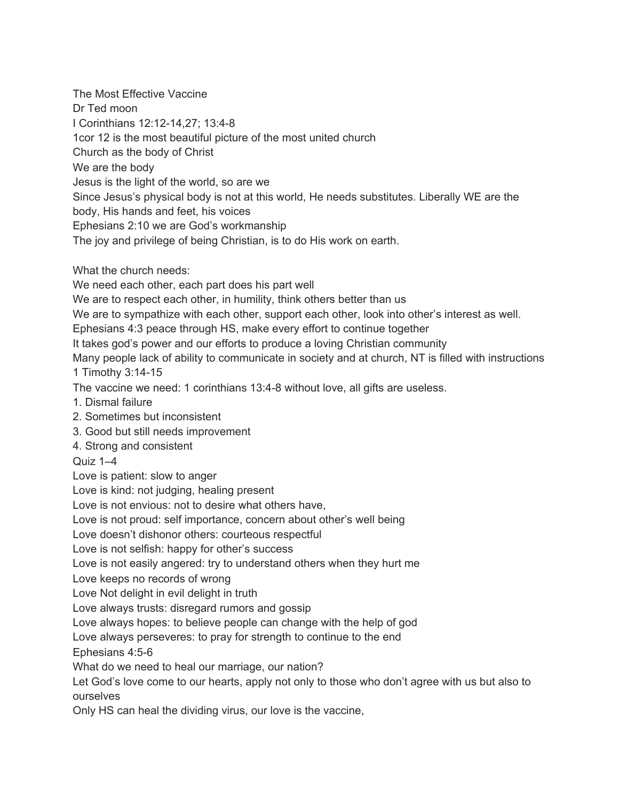The Most Effective Vaccine Dr Ted moon I Corinthians 12:12-14,27; 13:4-8 1cor 12 is the most beautiful picture of the most united church Church as the body of Christ We are the body Jesus is the light of the world, so are we Since Jesus's physical body is not at this world, He needs substitutes. Liberally WE are the body, His hands and feet, his voices Ephesians 2:10 we are God's workmanship The joy and privilege of being Christian, is to do His work on earth.

What the church needs:

We need each other, each part does his part well

We are to respect each other, in humility, think others better than us

We are to sympathize with each other, support each other, look into other's interest as well. Ephesians 4:3 peace through HS, make every effort to continue together

It takes god's power and our efforts to produce a loving Christian community

Many people lack of ability to communicate in society and at church, NT is filled with instructions 1 Timothy 3:14-15

The vaccine we need: 1 corinthians 13:4-8 without love, all gifts are useless.

- 1. Dismal failure
- 2. Sometimes but inconsistent
- 3. Good but still needs improvement
- 4. Strong and consistent

Quiz 1–4

Love is patient: slow to anger

Love is kind: not judging, healing present

Love is not envious: not to desire what others have,

Love is not proud: self importance, concern about other's well being

Love doesn't dishonor others: courteous respectful

Love is not selfish: happy for other's success

Love is not easily angered: try to understand others when they hurt me

Love keeps no records of wrong

Love Not delight in evil delight in truth

Love always trusts: disregard rumors and gossip

Love always hopes: to believe people can change with the help of god

Love always perseveres: to pray for strength to continue to the end

Ephesians 4:5-6

What do we need to heal our marriage, our nation?

Let God's love come to our hearts, apply not only to those who don't agree with us but also to ourselves

Only HS can heal the dividing virus, our love is the vaccine,